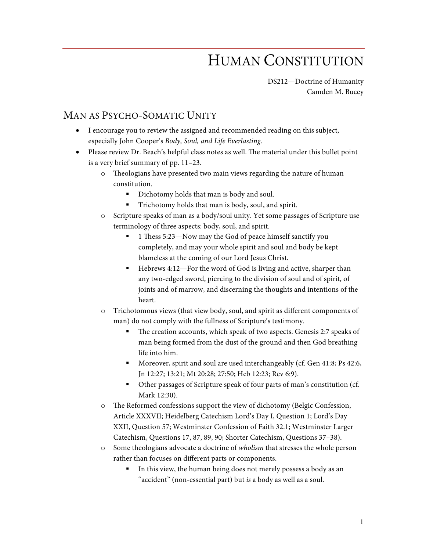## HUMAN CONSTITUTION

DS212—Doctrine of Humanity Camden M. Bucey

## MAN AS PSYCHO-SOMATIC UNITY

- I encourage you to review the assigned and recommended reading on this subject, especially John Cooper's *Body, Soul, and Life Everlasting*.
- Please review Dr. Beach's helpful class notes as well. The material under this bullet point is a very brief summary of pp. 11–23.
	- o Theologians have presented two main views regarding the nature of human constitution.
		- Dichotomy holds that man is body and soul.
		- § Trichotomy holds that man is body, soul, and spirit.
	- o Scripture speaks of man as a body/soul unity. Yet some passages of Scripture use terminology of three aspects: body, soul, and spirit.
		- 1 Thess 5:23—Now may the God of peace himself sanctify you completely, and may your whole spirit and soul and body be kept blameless at the coming of our Lord Jesus Christ.
		- Hebrews 4:12—For the word of God is living and active, sharper than any two-edged sword, piercing to the division of soul and of spirit, of joints and of marrow, and discerning the thoughts and intentions of the heart.
	- o Trichotomous views (that view body, soul, and spirit as different components of man) do not comply with the fullness of Scripture's testimony.
		- The creation accounts, which speak of two aspects. Genesis 2:7 speaks of man being formed from the dust of the ground and then God breathing life into him.
		- Moreover, spirit and soul are used interchangeably (cf. Gen 41:8; Ps 42:6, Jn 12:27; 13:21; Mt 20:28; 27:50; Heb 12:23; Rev 6:9).
		- Other passages of Scripture speak of four parts of man's constitution (cf. Mark 12:30).
	- o The Reformed confessions support the view of dichotomy (Belgic Confession, Article XXXVII; Heidelberg Catechism Lord's Day I, Question 1; Lord's Day XXII, Question 57; Westminster Confession of Faith 32.1; Westminster Larger Catechism, Questions 17, 87, 89, 90; Shorter Catechism, Questions 37–38).
	- o Some theologians advocate a doctrine of *wholism* that stresses the whole person rather than focuses on different parts or components.
		- In this view, the human being does not merely possess a body as an "accident" (non-essential part) but *is* a body as well as a soul.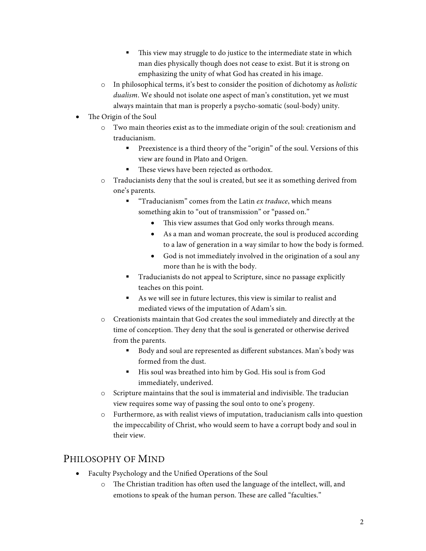- **•** This view may struggle to do justice to the intermediate state in which man dies physically though does not cease to exist. But it is strong on emphasizing the unity of what God has created in his image.
- o In philosophical terms, it's best to consider the position of dichotomy as *holistic dualism*. We should not isolate one aspect of man's constitution, yet we must always maintain that man is properly a psycho-somatic (soul-body) unity.
- The Origin of the Soul
	- o Two main theories exist as to the immediate origin of the soul: creationism and traducianism.
		- Preexistence is a third theory of the "origin" of the soul. Versions of this view are found in Plato and Origen.
		- **•** These views have been rejected as orthodox.
	- o Traducianists deny that the soul is created, but see it as something derived from one's parents.
		- § "Traducianism" comes from the Latin *ex traduce*, which means something akin to "out of transmission" or "passed on."
			- This view assumes that God only works through means.
			- As a man and woman procreate, the soul is produced according to a law of generation in a way similar to how the body is formed.
			- God is not immediately involved in the origination of a soul any more than he is with the body.
		- Traducianists do not appeal to Scripture, since no passage explicitly teaches on this point.
		- As we will see in future lectures, this view is similar to realist and mediated views of the imputation of Adam's sin.
	- o Creationists maintain that God creates the soul immediately and directly at the time of conception. They deny that the soul is generated or otherwise derived from the parents.
		- Body and soul are represented as different substances. Man's body was formed from the dust.
		- § His soul was breathed into him by God. His soul is from God immediately, underived.
	- o Scripture maintains that the soul is immaterial and indivisible. The traducian view requires some way of passing the soul onto to one's progeny.
	- o Furthermore, as with realist views of imputation, traducianism calls into question the impeccability of Christ, who would seem to have a corrupt body and soul in their view.

## PHILOSOPHY OF MIND

- Faculty Psychology and the Unified Operations of the Soul
	- o The Christian tradition has often used the language of the intellect, will, and emotions to speak of the human person. These are called "faculties."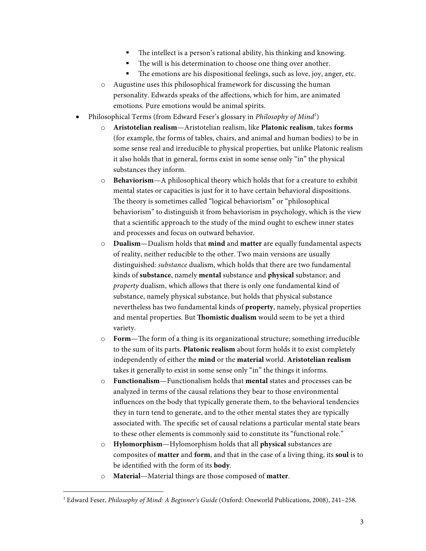- The intellect is a person's rational ability, his thinking and knowing.
- The will is his determination to choose one thing over another.
- The emotions are his dispositional feelings, such as love, joy, anger, etc.
- o Augustine uses this philosophical framework for discussing the human personality. Edwards speaks of the affections, which for him, are animated emotions. Pure emotions would be animal spirits.
- Philosophical Terms (from Edward Feser's glossary in *Philosophy of Mind1* )
	- o **Aristotelian realism**—Aristotelian realism, like **Platonic realism**, takes **forms** (for example, the forms of tables, chairs, and animal and human bodies) to be in some sense real and irreducible to physical properties, but unlike Platonic realism it also holds that in general, forms exist in some sense only "in" the physical substances they inform.
	- o **Behaviorism**—A philosophical theory which holds that for a creature to exhibit mental states or capacities is just for it to have certain behavioral dispositions. The theory is sometimes called "logical behaviorism" or "philosophical behaviorism" to distinguish it from behaviorism in psychology, which is the view that a scientific approach to the study of the mind ought to eschew inner states and processes and focus on outward behavior.
	- o **Dualism**—Dualism holds that **mind** and **matter** are equally fundamental aspects of reality, neither reducible to the other. Two main versions are usually distinguished: *substance* dualism, which holds that there are two fundamental kinds of **substance**, namely **mental** substance and **physical** substance; and *property* dualism, which allows that there is only one fundamental kind of substance, namely physical substance, but holds that physical substance nevertheless has two fundamental kinds of **property**, namely, physical properties and mental properties. But **Thomistic dualism** would seem to be yet a third variety.
	- o **Form**—The form of a thing is its organizational structure; something irreducible to the sum of its parts. **Platonic realism** about form holds it to exist completely independently of either the **mind** or the **material** world. **Aristotelian realism** takes it generally to exist in some sense only "in" the things it informs.
	- o **Functionalism**—Functionalism holds that **mental** states and processes can be analyzed in terms of the causal relations they bear to those environmental influences on the body that typically generate them, to the behavioral tendencies they in turn tend to generate, and to the other mental states they are typically associated with. The specific set of causal relations a particular mental state bears to these other elements is commonly said to constitute its "functional role."
	- o **Hylomorphism**—Hylomorphism holds that all **physical** substances are composites of **matter** and **form**, and that in the case of a living thing, its **soul** is to be identified with the form of its **body**.
	- o **Material**—Material things are those composed of **matter**.

 <sup>1</sup> Edward Feser, *Philosophy of Mind: A Beginner's Guide* (Oxford: Oneworld Publications, 2008), 241–258.